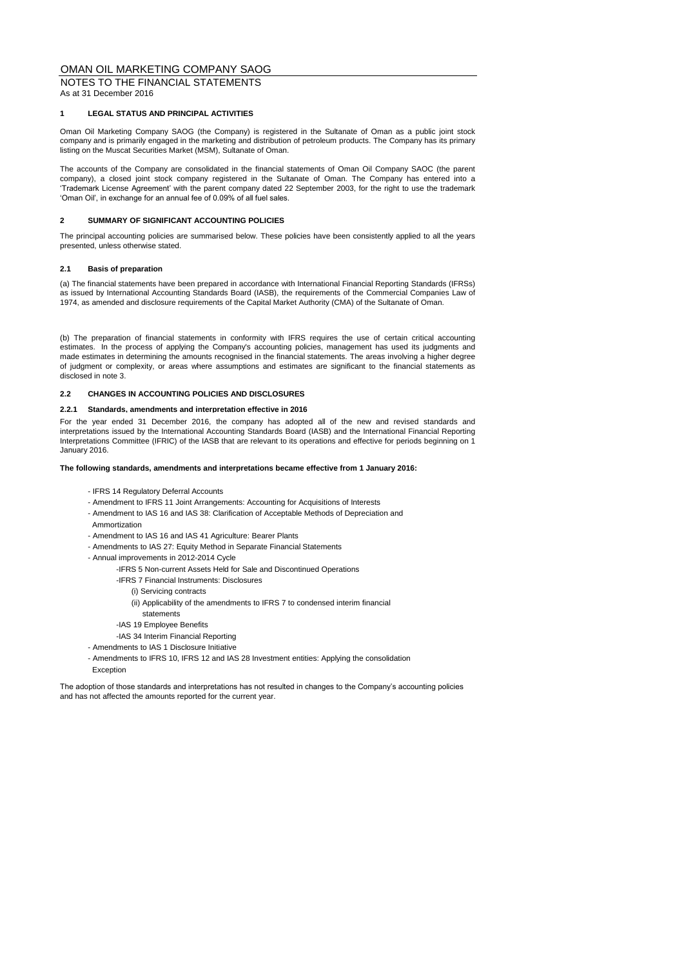NOTES TO THE FINANCIAL STATEMENTS As at 31 December 2016

## **1 LEGAL STATUS AND PRINCIPAL ACTIVITIES**

Oman Oil Marketing Company SAOG (the Company) is registered in the Sultanate of Oman as a public joint stock company and is primarily engaged in the marketing and distribution of petroleum products. The Company has its primary listing on the Muscat Securities Market (MSM), Sultanate of Oman.

The accounts of the Company are consolidated in the financial statements of Oman Oil Company SAOC (the parent company), a closed joint stock company registered in the Sultanate of Oman. The Company has entered into a 'Trademark License Agreement' with the parent company dated 22 September 2003, for the right to use the trademark 'Oman Oil', in exchange for an annual fee of 0.09% of all fuel sales.

## **2 SUMMARY OF SIGNIFICANT ACCOUNTING POLICIES**

The principal accounting policies are summarised below. These policies have been consistently applied to all the years presented, unless otherwise stated.

## **2.1 Basis of preparation**

(a) The financial statements have been prepared in accordance with International Financial Reporting Standards (IFRSs) as issued by International Accounting Standards Board (IASB), the requirements of the Commercial Companies Law of 1974, as amended and disclosure requirements of the Capital Market Authority (CMA) of the Sultanate of Oman.

(b) The preparation of financial statements in conformity with IFRS requires the use of certain critical accounting estimates. In the process of applying the Company's accounting policies, management has used its judgments and made estimates in determining the amounts recognised in the financial statements. The areas involving a higher degree of judgment or complexity, or areas where assumptions and estimates are significant to the financial statements as disclosed in note 3.

## **2.2 CHANGES IN ACCOUNTING POLICIES AND DISCLOSURES**

## **2.2.1 Standards, amendments and interpretation effective in 2016**

For the year ended 31 December 2016, the company has adopted all of the new and revised standards and interpretations issued by the International Accounting Standards Board (IASB) and the International Financial Reporting Interpretations Committee (IFRIC) of the IASB that are relevant to its operations and effective for periods beginning on 1 January 2016.

## **The following standards, amendments and interpretations became effective from 1 January 2016:**

- IFRS 14 Regulatory Deferral Accounts
- Amendment to IFRS 11 Joint Arrangements: Accounting for Acquisitions of Interests
- Amendment to IAS 16 and IAS 38: Clarification of Acceptable Methods of Depreciation and Ammortization
- Amendment to IAS 16 and IAS 41 Agriculture: Bearer Plants
- Amendments to IAS 27: Equity Method in Separate Financial Statements
- Annual improvements in 2012-2014 Cycle
	- -IFRS 5 Non-current Assets Held for Sale and Discontinued Operations
	- -IFRS 7 Financial Instruments: Disclosures
		- (i) Servicing contracts
		- (ii) Applicability of the amendments to IFRS 7 to condensed interim financial
	- statements
	- -IAS 19 Employee Benefits
	- -IAS 34 Interim Financial Reporting
- Amendments to IAS 1 Disclosure Initiative
- Amendments to IFRS 10, IFRS 12 and IAS 28 Investment entities: Applying the consolidation Exception

The adoption of those standards and interpretations has not resulted in changes to the Company's accounting policies and has not affected the amounts reported for the current year.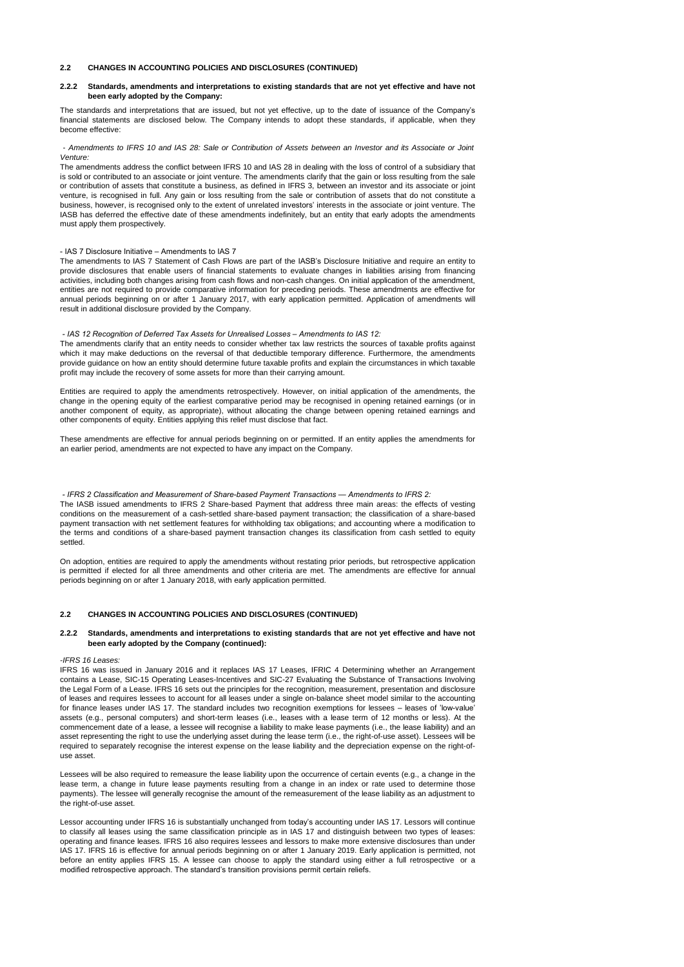## **2.2 CHANGES IN ACCOUNTING POLICIES AND DISCLOSURES (CONTINUED)**

#### **2.2.2 Standards, amendments and interpretations to existing standards that are not yet effective and have not been early adopted by the Company:**

The standards and interpretations that are issued, but not yet effective, up to the date of issuance of the Company's financial statements are disclosed below. The Company intends to adopt these standards, if applicable, when they become effective:

### - Amendments to IFRS 10 and IAS 28: Sale or Contribution of Assets between an Investor and its Associate or Joint *Venture:*

The amendments address the conflict between IFRS 10 and IAS 28 in dealing with the loss of control of a subsidiary that is sold or contributed to an associate or joint venture. The amendments clarify that the gain or loss resulting from the sale or contribution of assets that constitute a business, as defined in IFRS 3, between an investor and its associate or joint venture, is recognised in full. Any gain or loss resulting from the sale or contribution of assets that do not constitute a business, however, is recognised only to the extent of unrelated investors' interests in the associate or joint venture. The IASB has deferred the effective date of these amendments indefinitely, but an entity that early adopts the amendments must apply them prospectively.

### - IAS 7 Disclosure Initiative – Amendments to IAS 7

The amendments to IAS 7 Statement of Cash Flows are part of the IASB's Disclosure Initiative and require an entity to provide disclosures that enable users of financial statements to evaluate changes in liabilities arising from financing activities, including both changes arising from cash flows and non-cash changes. On initial application of the amendment, entities are not required to provide comparative information for preceding periods. These amendments are effective for annual periods beginning on or after 1 January 2017, with early application permitted. Application of amendments will result in additional disclosure provided by the Company.

### *- IAS 12 Recognition of Deferred Tax Assets for Unrealised Losses – Amendments to IAS 12:*

The amendments clarify that an entity needs to consider whether tax law restricts the sources of taxable profits against which it may make deductions on the reversal of that deductible temporary difference. Furthermore, the amendments provide guidance on how an entity should determine future taxable profits and explain the circumstances in which taxable profit may include the recovery of some assets for more than their carrying amount.

Entities are required to apply the amendments retrospectively. However, on initial application of the amendments, the change in the opening equity of the earliest comparative period may be recognised in opening retained earnings (or in another component of equity, as appropriate), without allocating the change between opening retained earnings and other components of equity. Entities applying this relief must disclose that fact.

These amendments are effective for annual periods beginning on or permitted. If an entity applies the amendments for an earlier period, amendments are not expected to have any impact on the Company.

 *- IFRS 2 Classification and Measurement of Share-based Payment Transactions — Amendments to IFRS 2:* The IASB issued amendments to IFRS 2 Share-based Payment that address three main areas: the effects of vesting conditions on the measurement of a cash-settled share-based payment transaction; the classification of a share-based payment transaction with net settlement features for withholding tax obligations; and accounting where a modification to the terms and conditions of a share-based payment transaction changes its classification from cash settled to equity settled.

On adoption, entities are required to apply the amendments without restating prior periods, but retrospective application is permitted if elected for all three amendments and other criteria are met. The amendments are effective for annual periods beginning on or after 1 January 2018, with early application permitted.

## **2.2 CHANGES IN ACCOUNTING POLICIES AND DISCLOSURES (CONTINUED)**

#### **2.2.2 Standards, amendments and interpretations to existing standards that are not yet effective and have not been early adopted by the Company (continued):**

#### *-IFRS 16 Leases:*

IFRS 16 was issued in January 2016 and it replaces IAS 17 Leases, IFRIC 4 Determining whether an Arrangement contains a Lease, SIC-15 Operating Leases-Incentives and SIC-27 Evaluating the Substance of Transactions Involving the Legal Form of a Lease. IFRS 16 sets out the principles for the recognition, measurement, presentation and disclosure of leases and requires lessees to account for all leases under a single on-balance sheet model similar to the accounting for finance leases under IAS 17. The standard includes two recognition exemptions for lessees – leases of 'low-value' assets (e.g., personal computers) and short-term leases (i.e., leases with a lease term of 12 months or less). At the commencement date of a lease, a lessee will recognise a liability to make lease payments (i.e., the lease liability) and an asset representing the right to use the underlying asset during the lease term (i.e., the right-of-use asset). Lessees will be required to separately recognise the interest expense on the lease liability and the depreciation expense on the right-ofuse asset.

Lessees will be also required to remeasure the lease liability upon the occurrence of certain events (e.g., a change in the lease term, a change in future lease payments resulting from a change in an index or rate used to determine those payments). The lessee will generally recognise the amount of the remeasurement of the lease liability as an adjustment to the right-of-use asset.

Lessor accounting under IFRS 16 is substantially unchanged from today's accounting under IAS 17. Lessors will continue to classify all leases using the same classification principle as in IAS 17 and distinguish between two types of leases: operating and finance leases. IFRS 16 also requires lessees and lessors to make more extensive disclosures than under IAS 17. IFRS 16 is effective for annual periods beginning on or after 1 January 2019. Early application is permitted, not before an entity applies IFRS 15. A lessee can choose to apply the standard using either a full retrospective or a modified retrospective approach. The standard's transition provisions permit certain reliefs.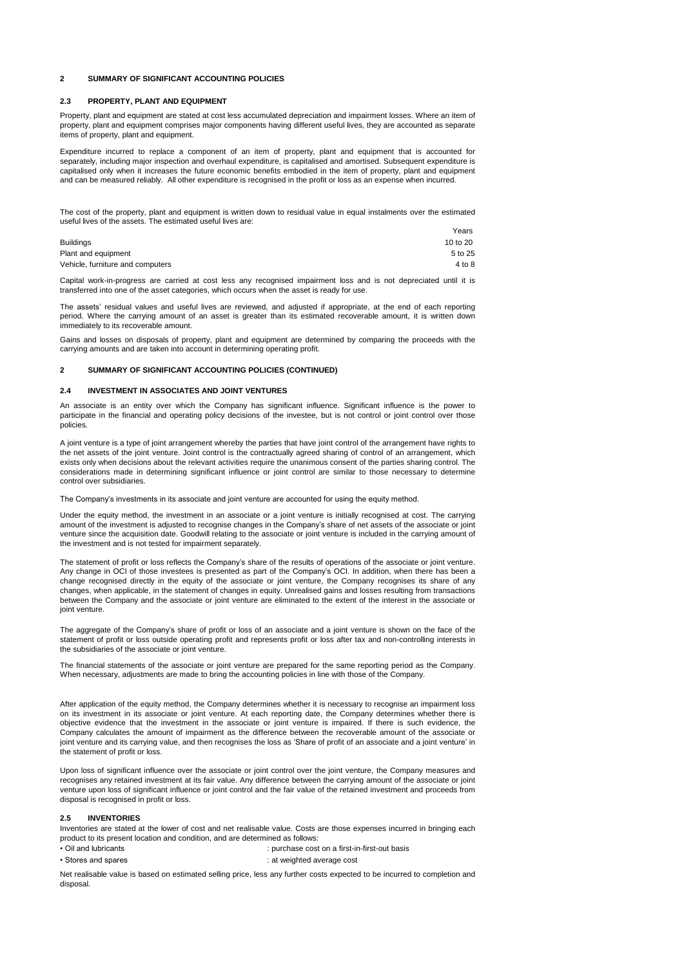### **2 SUMMARY OF SIGNIFICANT ACCOUNTING POLICIES**

### **2.3 PROPERTY, PLANT AND EQUIPMENT**

Property, plant and equipment are stated at cost less accumulated depreciation and impairment losses. Where an item of property, plant and equipment comprises major components having different useful lives, they are accounted as separate items of property, plant and equipment.

Expenditure incurred to replace a component of an item of property, plant and equipment that is accounted for separately, including major inspection and overhaul expenditure, is capitalised and amortised. Subsequent expenditure is capitalised only when it increases the future economic benefits embodied in the item of property, plant and equipment and can be measured reliably. All other expenditure is recognised in the profit or loss as an expense when incurred.

The cost of the property, plant and equipment is written down to residual value in equal instalments over the estimated useful lives of the assets. The estimated useful lives are:

|                                  | Years    |
|----------------------------------|----------|
| <b>Buildings</b>                 | 10 to 20 |
| Plant and equipment              | 5 to 25  |
| Vehicle, furniture and computers | 4 to 8   |

Capital work-in-progress are carried at cost less any recognised impairment loss and is not depreciated until it is transferred into one of the asset categories, which occurs when the asset is ready for use.

The assets' residual values and useful lives are reviewed, and adjusted if appropriate, at the end of each reporting period. Where the carrying amount of an asset is greater than its estimated recoverable amount, it is written down immediately to its recoverable amount.

Gains and losses on disposals of property, plant and equipment are determined by comparing the proceeds with the carrying amounts and are taken into account in determining operating profit.

## **2 SUMMARY OF SIGNIFICANT ACCOUNTING POLICIES (CONTINUED)**

### **2.4 INVESTMENT IN ASSOCIATES AND JOINT VENTURES**

An associate is an entity over which the Company has significant influence. Significant influence is the power to participate in the financial and operating policy decisions of the investee, but is not control or joint control over those policies.

A joint venture is a type of joint arrangement whereby the parties that have joint control of the arrangement have rights to the net assets of the joint venture. Joint control is the contractually agreed sharing of control of an arrangement, which exists only when decisions about the relevant activities require the unanimous consent of the parties sharing control. The considerations made in determining significant influence or joint control are similar to those necessary to determine control over subsidiaries.

The Company's investments in its associate and joint venture are accounted for using the equity method.

Under the equity method, the investment in an associate or a joint venture is initially recognised at cost. The carrying amount of the investment is adjusted to recognise changes in the Company's share of net assets of the associate or joint venture since the acquisition date. Goodwill relating to the associate or joint venture is included in the carrying amount of the investment and is not tested for impairment separately.

The statement of profit or loss reflects the Company's share of the results of operations of the associate or joint venture. Any change in OCI of those investees is presented as part of the Company's OCI. In addition, when there has been a change recognised directly in the equity of the associate or joint venture, the Company recognises its share of any changes, when applicable, in the statement of changes in equity. Unrealised gains and losses resulting from transactions between the Company and the associate or joint venture are eliminated to the extent of the interest in the associate or joint venture.

The aggregate of the Company's share of profit or loss of an associate and a joint venture is shown on the face of the statement of profit or loss outside operating profit and represents profit or loss after tax and non-controlling interests in the subsidiaries of the associate or joint venture.

The financial statements of the associate or joint venture are prepared for the same reporting period as the Company. When necessary, adjustments are made to bring the accounting policies in line with those of the Company.

After application of the equity method, the Company determines whether it is necessary to recognise an impairment loss on its investment in its associate or joint venture. At each reporting date, the Company determines whether there is objective evidence that the investment in the associate or joint venture is impaired. If there is such evidence, the Company calculates the amount of impairment as the difference between the recoverable amount of the associate or joint venture and its carrying value, and then recognises the loss as 'Share of profit of an associate and a joint venture' in the statement of profit or loss.

Upon loss of significant influence over the associate or joint control over the joint venture, the Company measures and recognises any retained investment at its fair value. Any difference between the carrying amount of the associate or joint venture upon loss of significant influence or joint control and the fair value of the retained investment and proceeds from disposal is recognised in profit or loss.

#### **2.5 INVENTORIES**

Inventories are stated at the lower of cost and net realisable value. Costs are those expenses incurred in bringing each product to its present location and condition, and are determined as follows:

- 
- Oil and lubricants : purchase cost on a first-in-first-out basis • Stores and spares **in the set of the set of the set of the set of the set of the set of the set of the set of the set of the set of the set of the set of the set of the set of the set of the set of the set of the set of**

Net realisable value is based on estimated selling price, less any further costs expected to be incurred to completion and disposal.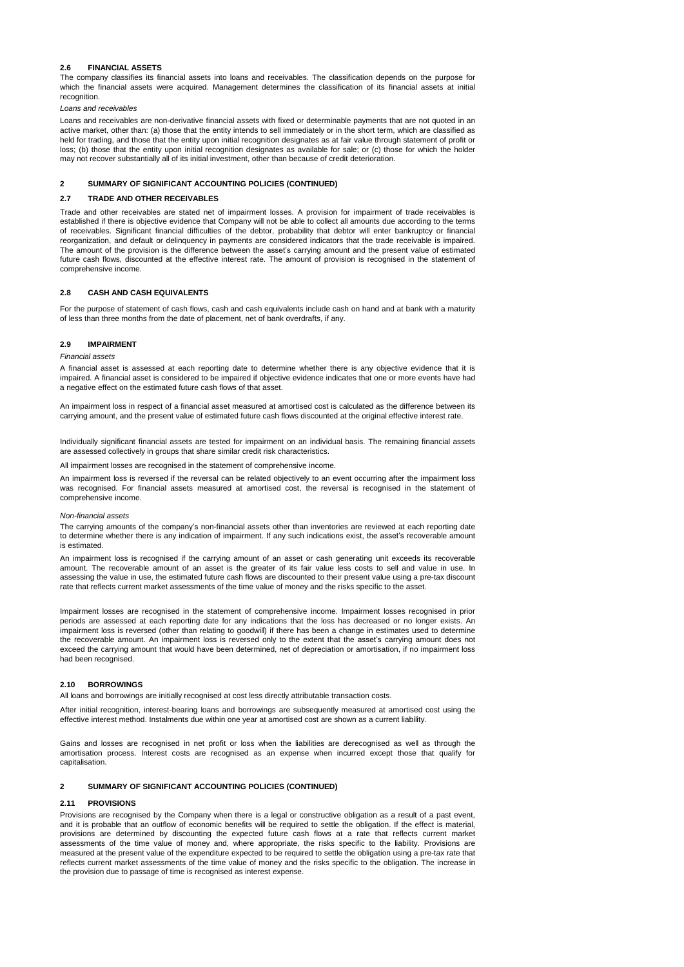## **2.6 FINANCIAL ASSETS**

The company classifies its financial assets into loans and receivables. The classification depends on the purpose for which the financial assets were acquired. Management determines the classification of its financial assets at initial recognition.

### *Loans and receivables*

Loans and receivables are non-derivative financial assets with fixed or determinable payments that are not quoted in an active market, other than: (a) those that the entity intends to sell immediately or in the short term, which are classified as held for trading, and those that the entity upon initial recognition designates as at fair value through statement of profit or loss; (b) those that the entity upon initial recognition designates as available for sale; or (c) those for which the holder may not recover substantially all of its initial investment, other than because of credit deterioration.

## **2 SUMMARY OF SIGNIFICANT ACCOUNTING POLICIES (CONTINUED)**

#### **2.7 TRADE AND OTHER RECEIVABLES**

Trade and other receivables are stated net of impairment losses. A provision for impairment of trade receivables is established if there is objective evidence that Company will not be able to collect all amounts due according to the terms of receivables. Significant financial difficulties of the debtor, probability that debtor will enter bankruptcy or financial reorganization, and default or delinquency in payments are considered indicators that the trade receivable is impaired. The amount of the provision is the difference between the asset's carrying amount and the present value of estimated future cash flows, discounted at the effective interest rate. The amount of provision is recognised in the statement of comprehensive income.

#### **2.8 CASH AND CASH EQUIVALENTS**

For the purpose of statement of cash flows, cash and cash equivalents include cash on hand and at bank with a maturity of less than three months from the date of placement, net of bank overdrafts, if any.

#### **2.9 IMPAIRMENT**

#### *Financial assets*

A financial asset is assessed at each reporting date to determine whether there is any objective evidence that it is impaired. A financial asset is considered to be impaired if objective evidence indicates that one or more events have had a negative effect on the estimated future cash flows of that asset.

An impairment loss in respect of a financial asset measured at amortised cost is calculated as the difference between its carrying amount, and the present value of estimated future cash flows discounted at the original effective interest rate.

Individually significant financial assets are tested for impairment on an individual basis. The remaining financial assets are assessed collectively in groups that share similar credit risk characteristics.

All impairment losses are recognised in the statement of comprehensive income.

An impairment loss is reversed if the reversal can be related objectively to an event occurring after the impairment loss was recognised. For financial assets measured at amortised cost, the reversal is recognised in the statement of comprehensive income.

#### *Non-financial assets*

The carrying amounts of the company's non-financial assets other than inventories are reviewed at each reporting date to determine whether there is any indication of impairment. If any such indications exist, the asset's recoverable amount is estimated.

An impairment loss is recognised if the carrying amount of an asset or cash generating unit exceeds its recoverable amount. The recoverable amount of an asset is the greater of its fair value less costs to sell and value in use. In assessing the value in use, the estimated future cash flows are discounted to their present value using a pre-tax discount rate that reflects current market assessments of the time value of money and the risks specific to the asset.

Impairment losses are recognised in the statement of comprehensive income. Impairment losses recognised in prior periods are assessed at each reporting date for any indications that the loss has decreased or no longer exists. An impairment loss is reversed (other than relating to goodwill) if there has been a change in estimates used to determine the recoverable amount. An impairment loss is reversed only to the extent that the asset's carrying amount does not exceed the carrying amount that would have been determined, net of depreciation or amortisation, if no impairment loss had been recognised.

## **2.10 BORROWINGS**

All loans and borrowings are initially recognised at cost less directly attributable transaction costs.

After initial recognition, interest-bearing loans and borrowings are subsequently measured at amortised cost using the effective interest method. Instalments due within one year at amortised cost are shown as a current liability.

Gains and losses are recognised in net profit or loss when the liabilities are derecognised as well as through the amortisation process. Interest costs are recognised as an expense when incurred except those that qualify for capitalisation.

## **2 SUMMARY OF SIGNIFICANT ACCOUNTING POLICIES (CONTINUED)**

### **2.11 PROVISIONS**

Provisions are recognised by the Company when there is a legal or constructive obligation as a result of a past event, and it is probable that an outflow of economic benefits will be required to settle the obligation. If the effect is material, provisions are determined by discounting the expected future cash flows at a rate that reflects current market assessments of the time value of money and, where appropriate, the risks specific to the liability. Provisions are measured at the present value of the expenditure expected to be required to settle the obligation using a pre-tax rate that reflects current market assessments of the time value of money and the risks specific to the obligation. The increase in the provision due to passage of time is recognised as interest expense.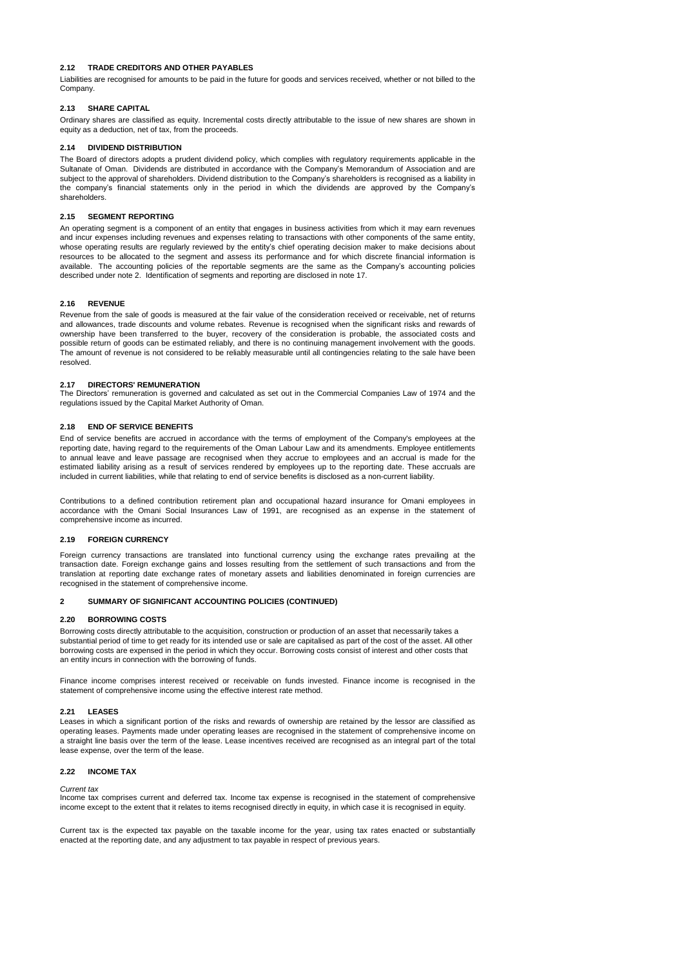## **2.12 TRADE CREDITORS AND OTHER PAYABLES**

Liabilities are recognised for amounts to be paid in the future for goods and services received, whether or not billed to the Company.

### **2.13 SHARE CAPITAL**

Ordinary shares are classified as equity. Incremental costs directly attributable to the issue of new shares are shown in equity as a deduction, net of tax, from the proceeds.

## **2.14 DIVIDEND DISTRIBUTION**

The Board of directors adopts a prudent dividend policy, which complies with regulatory requirements applicable in the Sultanate of Oman. Dividends are distributed in accordance with the Company's Memorandum of Association and are subject to the approval of shareholders. Dividend distribution to the Company's shareholders is recognised as a liability in the company's financial statements only in the period in which the dividends are approved by the Company's shareholders.

## **2.15 SEGMENT REPORTING**

An operating segment is a component of an entity that engages in business activities from which it may earn revenues and incur expenses including revenues and expenses relating to transactions with other components of the same entity, whose operating results are regularly reviewed by the entity's chief operating decision maker to make decisions about resources to be allocated to the segment and assess its performance and for which discrete financial information is available. The accounting policies of the reportable segments are the same as the Company's accounting policies described under note 2. Identification of segments and reporting are disclosed in note 17.

### **2.16 REVENUE**

Revenue from the sale of goods is measured at the fair value of the consideration received or receivable, net of returns and allowances, trade discounts and volume rebates. Revenue is recognised when the significant risks and rewards of ownership have been transferred to the buyer, recovery of the consideration is probable, the associated costs and possible return of goods can be estimated reliably, and there is no continuing management involvement with the goods. The amount of revenue is not considered to be reliably measurable until all contingencies relating to the sale have been resolved.

### **2.17 DIRECTORS' REMUNERATION**

The Directors' remuneration is governed and calculated as set out in the Commercial Companies Law of 1974 and the regulations issued by the Capital Market Authority of Oman.

## **2.18 END OF SERVICE BENEFITS**

End of service benefits are accrued in accordance with the terms of employment of the Company's employees at the reporting date, having regard to the requirements of the Oman Labour Law and its amendments. Employee entitlements to annual leave and leave passage are recognised when they accrue to employees and an accrual is made for the estimated liability arising as a result of services rendered by employees up to the reporting date. These accruals are included in current liabilities, while that relating to end of service benefits is disclosed as a non-current liability.

Contributions to a defined contribution retirement plan and occupational hazard insurance for Omani employees in accordance with the Omani Social Insurances Law of 1991, are recognised as an expense in the statement of comprehensive income as incurred.

### **2.19 FOREIGN CURRENCY**

Foreign currency transactions are translated into functional currency using the exchange rates prevailing at the transaction date. Foreign exchange gains and losses resulting from the settlement of such transactions and from the translation at reporting date exchange rates of monetary assets and liabilities denominated in foreign currencies are recognised in the statement of comprehensive income.

## **2 SUMMARY OF SIGNIFICANT ACCOUNTING POLICIES (CONTINUED)**

## **2.20 BORROWING COSTS**

Borrowing costs directly attributable to the acquisition, construction or production of an asset that necessarily takes a substantial period of time to get ready for its intended use or sale are capitalised as part of the cost of the asset. All other borrowing costs are expensed in the period in which they occur. Borrowing costs consist of interest and other costs that an entity incurs in connection with the borrowing of funds.

Finance income comprises interest received or receivable on funds invested. Finance income is recognised in the statement of comprehensive income using the effective interest rate method.

#### **2.21 LEASES**

Leases in which a significant portion of the risks and rewards of ownership are retained by the lessor are classified as operating leases. Payments made under operating leases are recognised in the statement of comprehensive income on a straight line basis over the term of the lease. Lease incentives received are recognised as an integral part of the total lease expense, over the term of the lease.

## **2.22 INCOME TAX**

*Current tax*

Income tax comprises current and deferred tax. Income tax expense is recognised in the statement of comprehensive income except to the extent that it relates to items recognised directly in equity, in which case it is recognised in equity.

Current tax is the expected tax payable on the taxable income for the year, using tax rates enacted or substantially enacted at the reporting date, and any adjustment to tax payable in respect of previous years.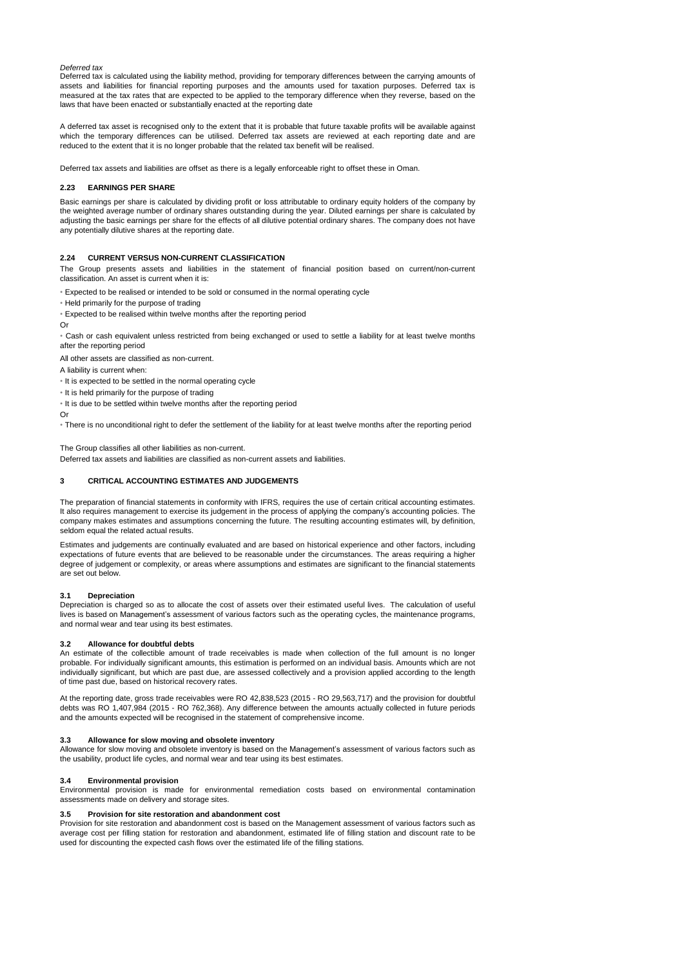## *Deferred tax*

Deferred tax is calculated using the liability method, providing for temporary differences between the carrying amounts of assets and liabilities for financial reporting purposes and the amounts used for taxation purposes. Deferred tax is measured at the tax rates that are expected to be applied to the temporary difference when they reverse, based on the laws that have been enacted or substantially enacted at the reporting date

A deferred tax asset is recognised only to the extent that it is probable that future taxable profits will be available against which the temporary differences can be utilised. Deferred tax assets are reviewed at each reporting date and are reduced to the extent that it is no longer probable that the related tax benefit will be realised.

Deferred tax assets and liabilities are offset as there is a legally enforceable right to offset these in Oman.

### **2.23 EARNINGS PER SHARE**

Basic earnings per share is calculated by dividing profit or loss attributable to ordinary equity holders of the company by the weighted average number of ordinary shares outstanding during the year. Diluted earnings per share is calculated by adjusting the basic earnings per share for the effects of all dilutive potential ordinary shares. The company does not have any potentially dilutive shares at the reporting date.

## **2.24 CURRENT VERSUS NON-CURRENT CLASSIFICATION**

The Group presents assets and liabilities in the statement of financial position based on current/non-current classification. An asset is current when it is:

• Expected to be realised or intended to be sold or consumed in the normal operating cycle

- Held primarily for the purpose of trading
- Expected to be realised within twelve months after the reporting period
- Or

• Cash or cash equivalent unless restricted from being exchanged or used to settle a liability for at least twelve months after the reporting period

All other assets are classified as non-current.

- A liability is current when:
- It is expected to be settled in the normal operating cycle
- It is held primarily for the purpose of trading
- It is due to be settled within twelve months after the reporting period
- Or

• There is no unconditional right to defer the settlement of the liability for at least twelve months after the reporting period

The Group classifies all other liabilities as non-current.

Deferred tax assets and liabilities are classified as non-current assets and liabilities.

## **3 CRITICAL ACCOUNTING ESTIMATES AND JUDGEMENTS**

The preparation of financial statements in conformity with IFRS, requires the use of certain critical accounting estimates. It also requires management to exercise its judgement in the process of applying the company's accounting policies. The company makes estimates and assumptions concerning the future. The resulting accounting estimates will, by definition, seldom equal the related actual results.

Estimates and judgements are continually evaluated and are based on historical experience and other factors, including expectations of future events that are believed to be reasonable under the circumstances. The areas requiring a higher degree of judgement or complexity, or areas where assumptions and estimates are significant to the financial statements are set out below.

#### **3.1 Depreciation**

Depreciation is charged so as to allocate the cost of assets over their estimated useful lives. The calculation of useful lives is based on Management's assessment of various factors such as the operating cycles, the maintenance programs, and normal wear and tear using its best estimates.

### **3.2 Allowance for doubtful debts**

An estimate of the collectible amount of trade receivables is made when collection of the full amount is no longer probable. For individually significant amounts, this estimation is performed on an individual basis. Amounts which are not individually significant, but which are past due, are assessed collectively and a provision applied according to the length of time past due, based on historical recovery rates.

At the reporting date, gross trade receivables were RO 42,838,523 (2015 - RO 29,563,717) and the provision for doubtful debts was RO 1,407,984 (2015 - RO 762,368). Any difference between the amounts actually collected in future periods and the amounts expected will be recognised in the statement of comprehensive income.

### **3.3 Allowance for slow moving and obsolete inventory**

Allowance for slow moving and obsolete inventory is based on the Management's assessment of various factors such as the usability, product life cycles, and normal wear and tear using its best estimates.

## **3.4 Environmental provision**

Environmental provision is made for environmental remediation costs based on environmental contamination assessments made on delivery and storage sites.

#### **3.5 Provision for site restoration and abandonment cost**

Provision for site restoration and abandonment cost is based on the Management assessment of various factors such as average cost per filling station for restoration and abandonment, estimated life of filling station and discount rate to be used for discounting the expected cash flows over the estimated life of the filling stations.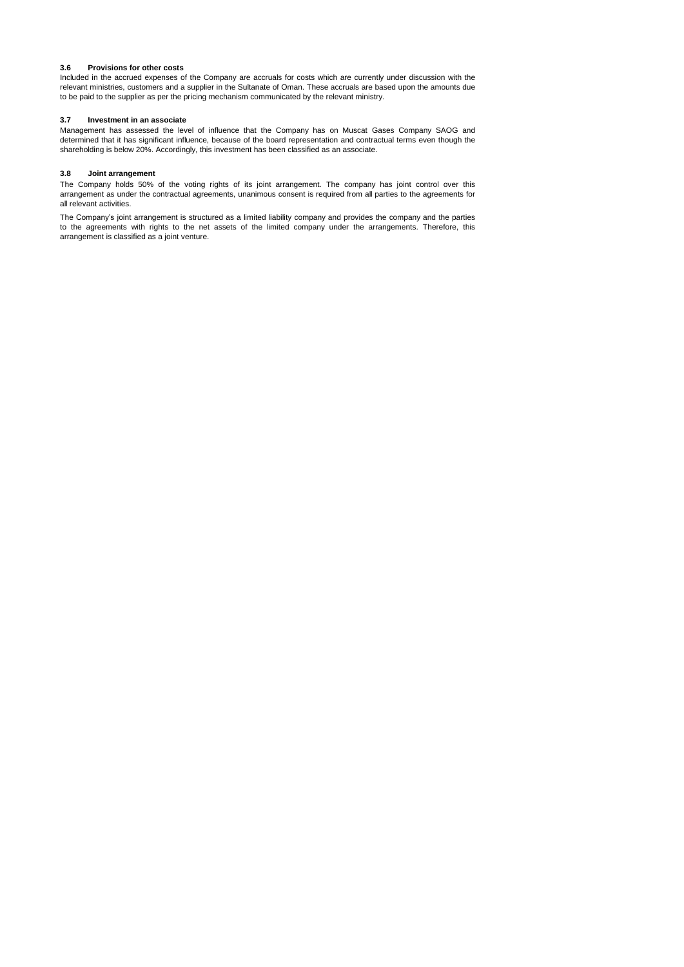## **3.6 Provisions for other costs**

Included in the accrued expenses of the Company are accruals for costs which are currently under discussion with the relevant ministries, customers and a supplier in the Sultanate of Oman. These accruals are based upon the amounts due to be paid to the supplier as per the pricing mechanism communicated by the relevant ministry.

## **3.7 Investment in an associate**

Management has assessed the level of influence that the Company has on Muscat Gases Company SAOG and determined that it has significant influence, because of the board representation and contractual terms even though the shareholding is below 20%. Accordingly, this investment has been classified as an associate.

## **3.8 Joint arrangement**

The Company holds 50% of the voting rights of its joint arrangement. The company has joint control over this arrangement as under the contractual agreements, unanimous consent is required from all parties to the agreements for all relevant activities.

The Company's joint arrangement is structured as a limited liability company and provides the company and the parties to the agreements with rights to the net assets of the limited company under the arrangements. Therefore, this arrangement is classified as a joint venture.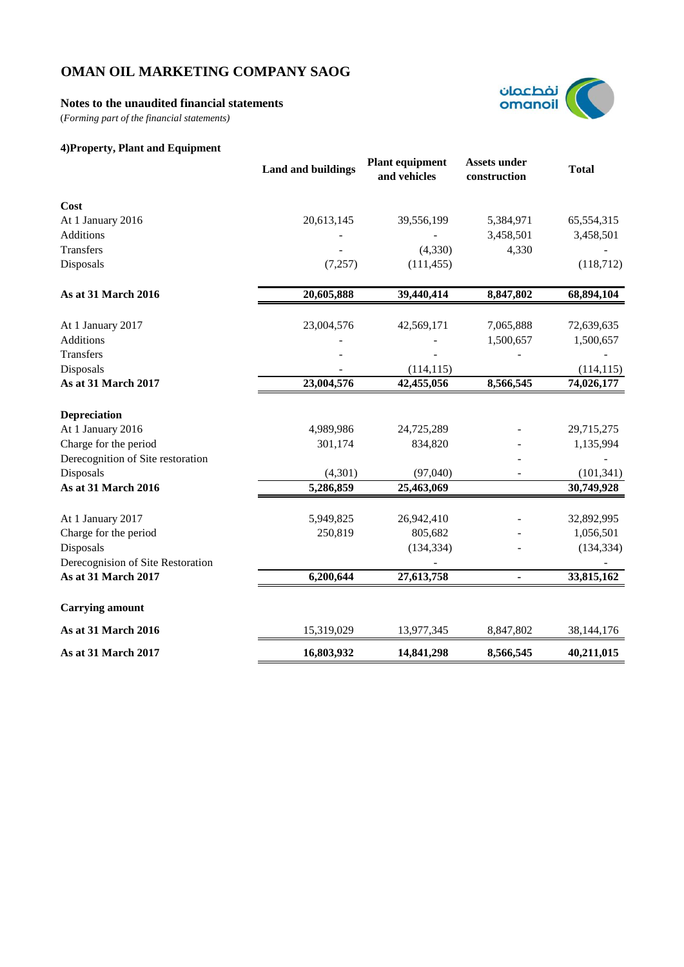# **Notes to the unaudited financial statements**

(*Forming part of the financial statements)*

# **4)Property, Plant and Equipment**



|                                   | <b>Land and buildings</b> | <b>Plant equipment</b><br>and vehicles | <b>Assets under</b><br>construction | <b>Total</b> |
|-----------------------------------|---------------------------|----------------------------------------|-------------------------------------|--------------|
| Cost                              |                           |                                        |                                     |              |
| At 1 January 2016                 | 20,613,145                | 39,556,199                             | 5,384,971                           | 65,554,315   |
| Additions                         |                           |                                        | 3,458,501                           | 3,458,501    |
| Transfers                         |                           | (4,330)                                | 4,330                               |              |
| Disposals                         | (7,257)                   | (111, 455)                             |                                     | (118, 712)   |
| As at 31 March 2016               | 20,605,888                | 39,440,414                             | 8,847,802                           | 68,894,104   |
| At 1 January 2017                 | 23,004,576                | 42,569,171                             | 7,065,888                           | 72,639,635   |
| Additions                         |                           |                                        | 1,500,657                           | 1,500,657    |
| <b>Transfers</b>                  |                           |                                        |                                     |              |
| Disposals                         |                           | (114, 115)                             |                                     | (114, 115)   |
| As at 31 March 2017               | 23,004,576                | 42,455,056                             | 8,566,545                           | 74,026,177   |
| <b>Depreciation</b>               |                           |                                        |                                     |              |
| At 1 January 2016                 | 4,989,986                 | 24,725,289                             |                                     | 29,715,275   |
| Charge for the period             | 301,174                   | 834,820                                |                                     | 1,135,994    |
| Derecognition of Site restoration |                           |                                        |                                     |              |
| Disposals                         | (4,301)                   | (97,040)                               |                                     | (101, 341)   |
| As at 31 March 2016               | 5,286,859                 | 25,463,069                             |                                     | 30,749,928   |
| At 1 January 2017                 | 5,949,825                 | 26,942,410                             |                                     | 32,892,995   |
| Charge for the period             | 250,819                   | 805,682                                |                                     | 1,056,501    |
| Disposals                         |                           | (134, 334)                             |                                     | (134, 334)   |
| Derecognision of Site Restoration |                           |                                        |                                     |              |
| As at 31 March 2017               | 6,200,644                 | 27,613,758                             |                                     | 33,815,162   |
| <b>Carrying amount</b>            |                           |                                        |                                     |              |
| As at 31 March 2016               | 15,319,029                | 13,977,345                             | 8,847,802                           | 38,144,176   |
| As at 31 March 2017               | 16,803,932                | 14,841,298                             | 8,566,545                           | 40,211,015   |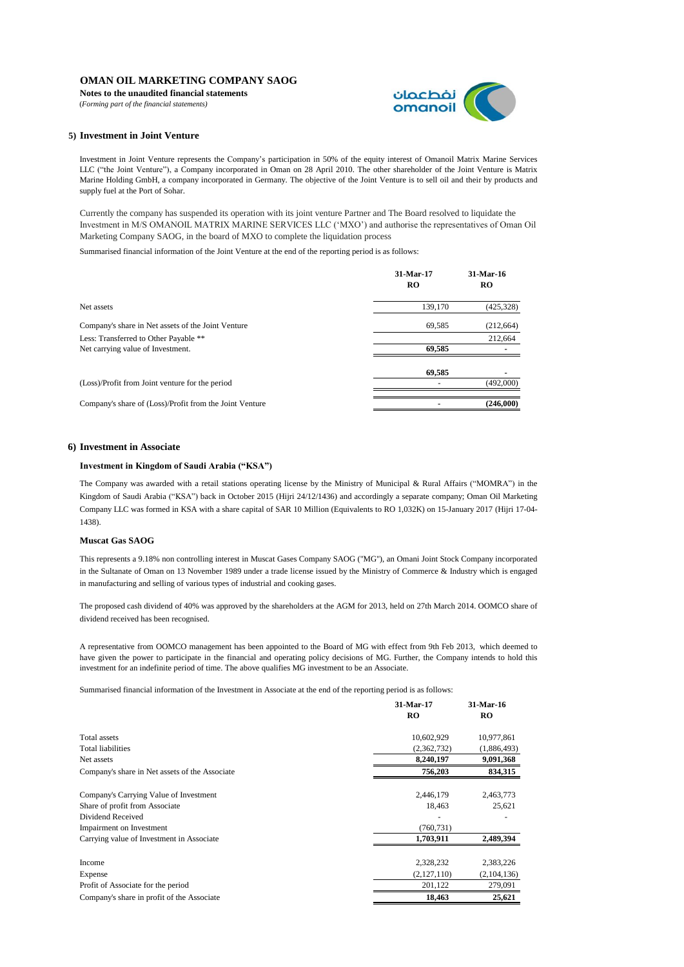**Notes to the unaudited financial statements**

(*Forming part of the financial statements)*



## **5) Investment in Joint Venture**

Investment in Joint Venture represents the Company's participation in 50% of the equity interest of Omanoil Matrix Marine Services LLC ("the Joint Venture"), a Company incorporated in Oman on 28 April 2010. The other shareholder of the Joint Venture is Matrix Marine Holding GmbH, a company incorporated in Germany. The objective of the Joint Venture is to sell oil and their by products and supply fuel at the Port of Sohar.

Currently the company has suspended its operation with its joint venture Partner and The Board resolved to liquidate the Investment in M/S OMANOIL MATRIX MARINE SERVICES LLC ('MXO') and authorise the representatives of Oman Oil Marketing Company SAOG, in the board of MXO to complete the liquidation process

Summarised financial information of the Joint Venture at the end of the reporting period is as follows:

|                                                         | 31-Mar-17<br>RO | 31-Mar-16<br>RO |
|---------------------------------------------------------|-----------------|-----------------|
| Net assets                                              | 139,170         | (425, 328)      |
| Company's share in Net assets of the Joint Venture      | 69,585          | (212, 664)      |
| Less: Transferred to Other Payable **                   |                 | 212,664         |
| Net carrying value of Investment.                       | 69.585          |                 |
|                                                         | 69.585          |                 |
| (Loss)/Profit from Joint venture for the period         |                 | (492,000)       |
| Company's share of (Loss)/Profit from the Joint Venture |                 | (246,000)       |

## **6) Investment in Associate**

## **Investment in Kingdom of Saudi Arabia ("KSA")**

The Company was awarded with a retail stations operating license by the Ministry of Municipal & Rural Affairs ("MOMRA") in the Kingdom of Saudi Arabia ("KSA") back in October 2015 (Hijri 24/12/1436) and accordingly a separate company; Oman Oil Marketing Company LLC was formed in KSA with a share capital of SAR 10 Million (Equivalents to RO 1,032K) on 15-January 2017 (Hijri 17-04- 1438).

#### **Muscat Gas SAOG**

This represents a 9.18% non controlling interest in Muscat Gases Company SAOG ("MG"), an Omani Joint Stock Company incorporated in the Sultanate of Oman on 13 November 1989 under a trade license issued by the Ministry of Commerce & Industry which is engaged in manufacturing and selling of various types of industrial and cooking gases.

The proposed cash dividend of 40% was approved by the shareholders at the AGM for 2013, held on 27th March 2014. OOMCO share of dividend received has been recognised.

A representative from OOMCO management has been appointed to the Board of MG with effect from 9th Feb 2013, which deemed to have given the power to participate in the financial and operating policy decisions of MG. Further, the Company intends to hold this investment for an indefinite period of time. The above qualifies MG investment to be an Associate.

Summarised financial information of the Investment in Associate at the end of the reporting period is as follows:

|                                                | 31-Mar-17   | 31-Mar-16   |
|------------------------------------------------|-------------|-------------|
|                                                | RO          | RO          |
| Total assets                                   | 10,602,929  | 10,977,861  |
| <b>Total liabilities</b>                       | (2,362,732) | (1,886,493) |
| Net assets                                     | 8,240,197   | 9,091,368   |
| Company's share in Net assets of the Associate | 756,203     | 834,315     |
| Company's Carrying Value of Investment         | 2,446,179   | 2,463,773   |
| Share of profit from Associate                 | 18,463      | 25,621      |
| Dividend Received                              |             |             |
| Impairment on Investment                       | (760, 731)  |             |
| Carrying value of Investment in Associate      | 1,703,911   | 2,489,394   |
| Income                                         | 2,328,232   | 2,383,226   |
| Expense                                        | (2,127,110) | (2,104,136) |
| Profit of Associate for the period             | 201,122     | 279,091     |
| Company's share in profit of the Associate     | 18,463      | 25,621      |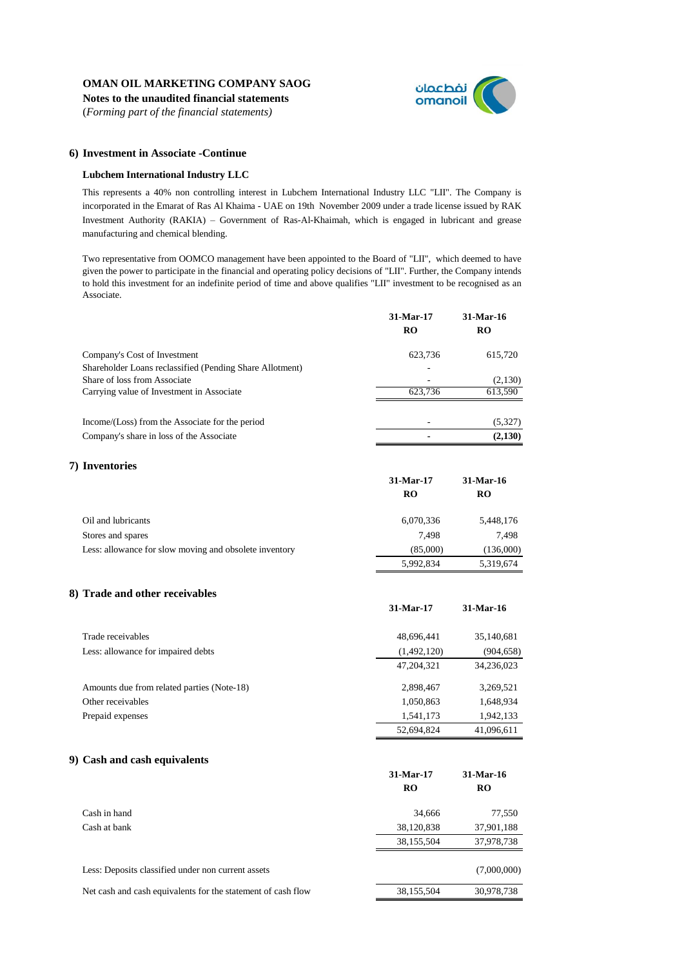**Notes to the unaudited financial statements** (*Forming part of the financial statements)*



## **6) Investment in Associate -Continue**

## **Lubchem International Industry LLC**

This represents a 40% non controlling interest in Lubchem International Industry LLC "LII". The Company is incorporated in the Emarat of Ras Al Khaima - UAE on 19th November 2009 under a trade license issued by RAK Investment Authority (RAKIA) – Government of Ras-Al-Khaimah, which is engaged in lubricant and grease manufacturing and chemical blending.

Two representative from OOMCO management have been appointed to the Board of "LII", which deemed to have given the power to participate in the financial and operating policy decisions of "LII". Further, the Company intends to hold this investment for an indefinite period of time and above qualifies "LII" investment to be recognised as an Associate.

|                                                          | 31-Mar-17<br><b>RO</b> | $31-Mar-16$<br><b>RO</b> |
|----------------------------------------------------------|------------------------|--------------------------|
| Company's Cost of Investment                             | 623.736                | 615,720                  |
| Shareholder Loans reclassified (Pending Share Allotment) |                        |                          |
| Share of loss from Associate                             |                        | (2,130)                  |
| Carrying value of Investment in Associate                | 623.736                | 613,590                  |
| Income/(Loss) from the Associate for the period          |                        | (5,327)                  |
| Company's share in loss of the Associate                 |                        | (2,130)                  |

# **7) Inventories**

|                                                        | 31-Mar-17 | 31-Mar-16 |
|--------------------------------------------------------|-----------|-----------|
|                                                        | RO        | RO        |
| Oil and lubricants                                     | 6,070,336 | 5,448,176 |
| Stores and spares                                      | 7.498     | 7.498     |
| Less: allowance for slow moving and obsolete inventory | (85,000)  | (136,000) |
|                                                        | 5.992.834 | 5.319.674 |

## **8) Trade and other receivables**

|                                            | 31-Mar-17    | $31-Mar-16$ |
|--------------------------------------------|--------------|-------------|
| Trade receivables                          | 48,696,441   | 35,140,681  |
| Less: allowance for impaired debts         | (1,492,120)  | (904, 658)  |
|                                            | 47, 204, 321 | 34,236,023  |
| Amounts due from related parties (Note-18) | 2,898,467    | 3,269,521   |
| Other receivables                          | 1,050,863    | 1,648,934   |
| Prepaid expenses                           | 1,541,173    | 1,942,133   |
|                                            | 52,694,824   | 41,096,611  |

## **9) Cash and cash equivalents**

|                                                              | 31-Mar-17<br>RO | 31-Mar-16<br>RO |
|--------------------------------------------------------------|-----------------|-----------------|
| Cash in hand                                                 | 34,666          | 77,550          |
| Cash at bank                                                 | 38,120,838      | 37,901,188      |
|                                                              | 38,155,504      | 37,978,738      |
| Less: Deposits classified under non current assets           |                 | (7,000,000)     |
| Net cash and cash equivalents for the statement of cash flow | 38,155,504      | 30,978,738      |
|                                                              |                 |                 |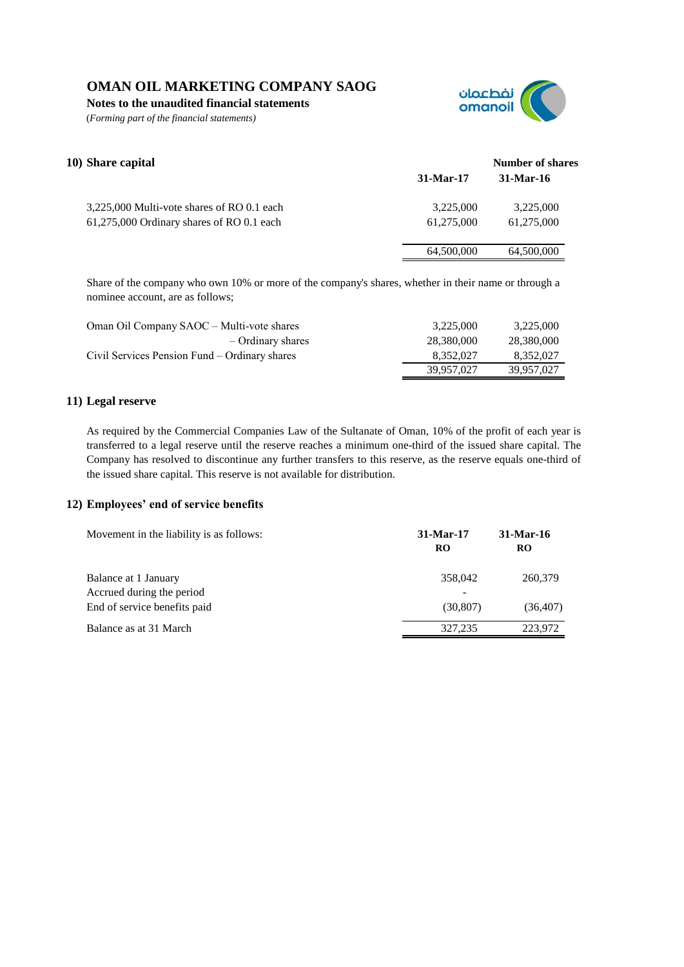**Notes to the unaudited financial statements**

(*Forming part of the financial statements)*



| 10) Share capital                          |             | Number of shares |
|--------------------------------------------|-------------|------------------|
|                                            | $31-Mar-17$ | $31-Mar-16$      |
| 3,225,000 Multi-vote shares of RO 0.1 each | 3.225,000   | 3.225,000        |
| 61,275,000 Ordinary shares of RO 0.1 each  | 61,275,000  | 61.275,000       |
|                                            | 64,500,000  | 64,500,000       |

Share of the company who own 10% or more of the company's shares, whether in their name or through a nominee account, are as follows;

| Oman Oil Company SAOC – Multi-vote shares     | 3.225,000  | 3,225,000  |
|-----------------------------------------------|------------|------------|
| $-$ Ordinary shares                           | 28.380.000 | 28,380,000 |
| Civil Services Pension Fund – Ordinary shares | 8.352.027  | 8.352.027  |
|                                               | 39.957.027 | 39.957.027 |

# **11) Legal reserve**

As required by the Commercial Companies Law of the Sultanate of Oman, 10% of the profit of each year is transferred to a legal reserve until the reserve reaches a minimum one-third of the issued share capital. The Company has resolved to discontinue any further transfers to this reserve, as the reserve equals one-third of the issued share capital. This reserve is not available for distribution.

# **12) Employees' end of service benefits**

| Movement in the liability is as follows:          | $31-Mar-17$<br><b>RO</b> | 31-Mar-16<br>RO |
|---------------------------------------------------|--------------------------|-----------------|
| Balance at 1 January<br>Accrued during the period | 358,042                  | 260,379         |
| End of service benefits paid                      | (30, 807)                | (36, 407)       |
| Balance as at 31 March                            | 327,235                  | 223.972         |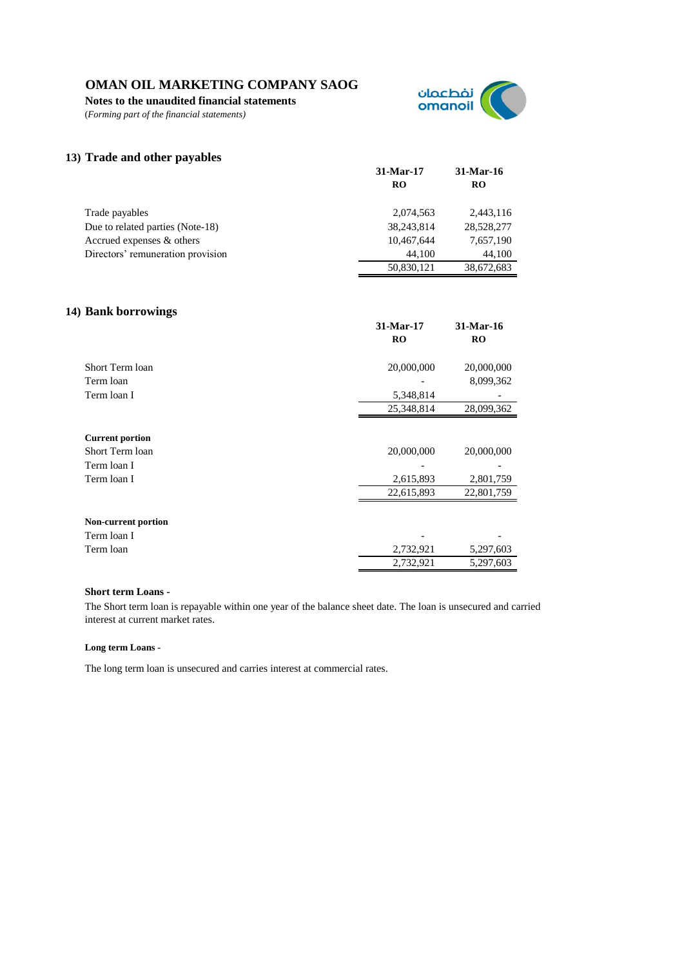**Notes to the unaudited financial statements**

(*Forming part of the financial statements)*



# **13) Trade and other payables**

|                                   | 31-Mar-17  | 31-Mar-16  |
|-----------------------------------|------------|------------|
|                                   | RO         | RO         |
| Trade payables                    | 2.074.563  | 2,443,116  |
| Due to related parties (Note-18)  | 38,243,814 | 28,528,277 |
| Accrued expenses & others         | 10,467,644 | 7,657,190  |
| Directors' remuneration provision | 44,100     | 44,100     |
|                                   | 50,830,121 | 38,672,683 |

# **14) Bank borrowings**

|                        | 31-Mar-17<br>$_{\rm RO}$ | 31-Mar-16<br><b>RO</b> |
|------------------------|--------------------------|------------------------|
| Short Term loan        | 20,000,000               | 20,000,000             |
| Term loan              |                          | 8,099,362              |
| Term loan I            | 5,348,814                |                        |
|                        | 25,348,814               | 28,099,362             |
|                        |                          |                        |
| <b>Current portion</b> |                          |                        |
| Short Term loan        | 20,000,000               | 20,000,000             |
| Term loan I            |                          |                        |
| Term loan I            | 2,615,893                | 2,801,759              |
|                        | 22,615,893               | 22,801,759             |
|                        |                          |                        |
| Non-current portion    |                          |                        |
| Term loan I            |                          |                        |
| Term loan              | 2,732,921                | 5,297,603              |
|                        | 2,732,921                | 5,297,603              |

## **Short term Loans -**

The Short term loan is repayable within one year of the balance sheet date. The loan is unsecured and carried interest at current market rates.

## **Long term Loans -**

The long term loan is unsecured and carries interest at commercial rates.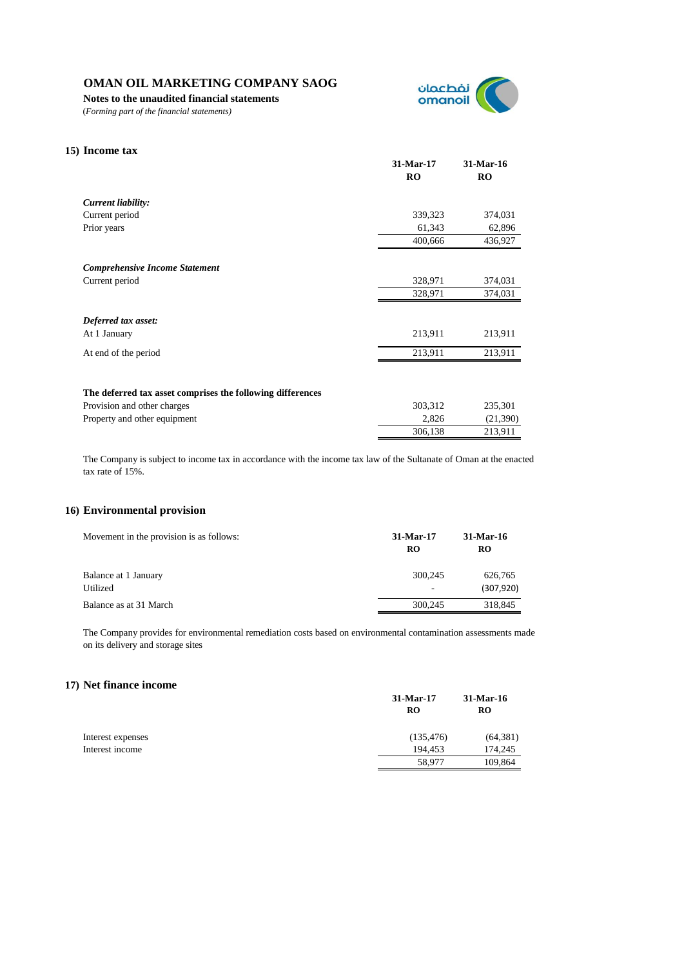**Notes to the unaudited financial statements**

(*Forming part of the financial statements)*



| 15) Income tax                                             |                        |                        |
|------------------------------------------------------------|------------------------|------------------------|
|                                                            | 31-Mar-17<br><b>RO</b> | 31-Mar-16<br><b>RO</b> |
| Current liability:                                         |                        |                        |
| Current period                                             | 339,323                | 374,031                |
| Prior years                                                | 61,343                 | 62,896                 |
|                                                            | 400,666                | 436,927                |
| <b>Comprehensive Income Statement</b>                      |                        |                        |
| Current period                                             | 328,971                | 374,031                |
|                                                            | 328,971                | 374,031                |
| Deferred tax asset:                                        |                        |                        |
| At 1 January                                               | 213,911                | 213,911                |
| At end of the period                                       | 213,911                | 213,911                |
|                                                            |                        |                        |
| The deferred tax asset comprises the following differences |                        |                        |
| Provision and other charges                                | 303,312                | 235,301                |
| Property and other equipment                               | 2,826                  | (21, 390)              |
|                                                            | 306,138                | 213,911                |

The Company is subject to income tax in accordance with the income tax law of the Sultanate of Oman at the enacted tax rate of 15%.

# **16) Environmental provision**

| Movement in the provision is as follows: | 31-Mar-17<br>RO | 31-Mar-16<br><b>RO</b> |
|------------------------------------------|-----------------|------------------------|
| Balance at 1 January                     | 300,245         | 626,765                |
| Utilized                                 |                 | (307, 920)             |
| Balance as at 31 March                   | 300,245         | 318,845                |

The Company provides for environmental remediation costs based on environmental contamination assessments made on its delivery and storage sites

# **17) Net finance income**

|                   | 31-Mar-17<br><b>RO</b> | 31-Mar-16<br><b>RO</b> |
|-------------------|------------------------|------------------------|
| Interest expenses | (135, 476)             | (64, 381)              |
| Interest income   | 194.453                | 174,245                |
|                   | 58,977                 | 109,864                |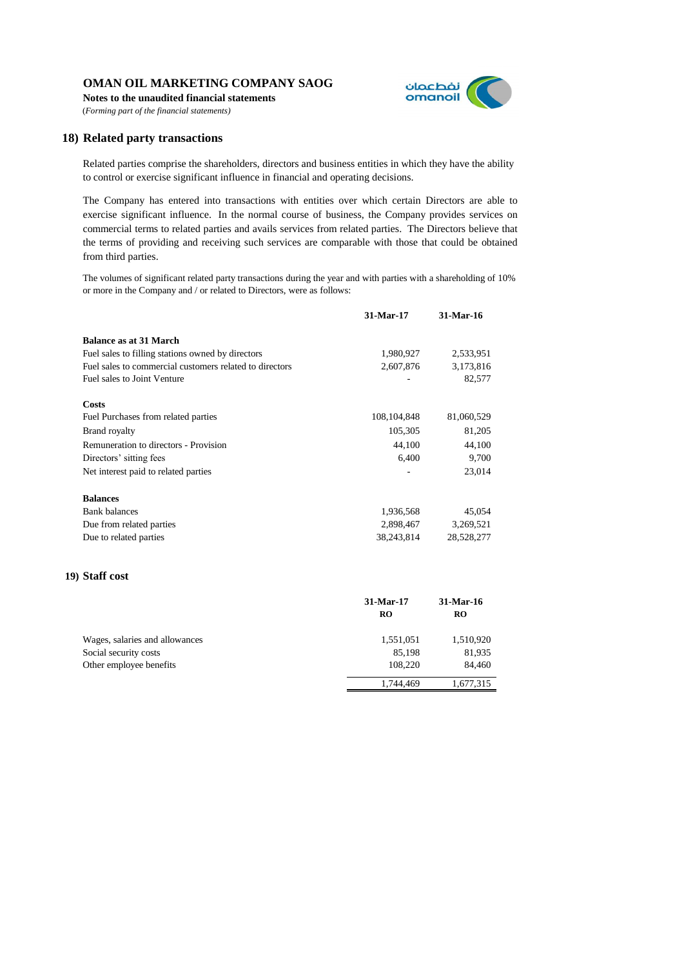**Notes to the unaudited financial statements** (*Forming part of the financial statements)*



# **18) Related party transactions**

Related parties comprise the shareholders, directors and business entities in which they have the ability to control or exercise significant influence in financial and operating decisions.

The Company has entered into transactions with entities over which certain Directors are able to exercise significant influence. In the normal course of business, the Company provides services on commercial terms to related parties and avails services from related parties. The Directors believe that the terms of providing and receiving such services are comparable with those that could be obtained from third parties.

The volumes of significant related party transactions during the year and with parties with a shareholding of 10% or more in the Company and / or related to Directors, were as follows:

|                                                         | 31-Mar-17     | 31-Mar-16  |
|---------------------------------------------------------|---------------|------------|
| <b>Balance as at 31 March</b>                           |               |            |
| Fuel sales to filling stations owned by directors       | 1,980,927     | 2,533,951  |
| Fuel sales to commercial customers related to directors | 2,607,876     | 3,173,816  |
| Fuel sales to Joint Venture                             |               | 82,577     |
| Costs                                                   |               |            |
| Fuel Purchases from related parties                     | 108, 104, 848 | 81,060,529 |
| <b>Brand royalty</b>                                    | 105,305       | 81,205     |
| Remuneration to directors - Provision                   | 44,100        | 44,100     |
| Directors' sitting fees                                 | 6,400         | 9,700      |
| Net interest paid to related parties                    |               | 23,014     |
| <b>Balances</b>                                         |               |            |
| <b>Bank balances</b>                                    | 1,936,568     | 45,054     |
| Due from related parties                                | 2,898,467     | 3,269,521  |
| Due to related parties                                  | 38, 243, 814  | 28,528,277 |

# **19) Staff cost**

|                                                                                    | 31-Mar-17<br><b>RO</b>         | 31-Mar-16<br>RO               |
|------------------------------------------------------------------------------------|--------------------------------|-------------------------------|
| Wages, salaries and allowances<br>Social security costs<br>Other employee benefits | 1,551,051<br>85.198<br>108,220 | 1,510,920<br>81,935<br>84,460 |
|                                                                                    | 1,744,469                      | 1,677,315                     |